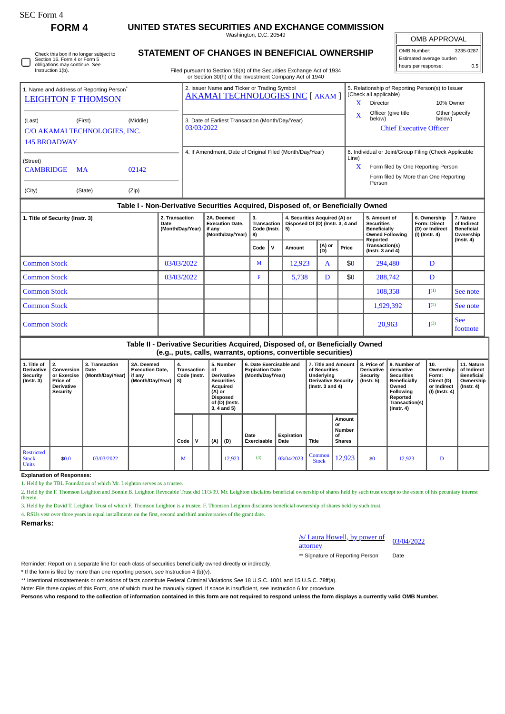Check this box if no longer subject to Section 16. Form 4 or Form 5 obligations may continue. *See* Instruction 1(b).

# **FORM 4 UNITED STATES SECURITIES AND EXCHANGE COMMISSION**

Washington, D.C. 20549 **STATEMENT OF CHANGES IN BENEFICIAL OWNERSHIP**

OMB APPROVAL  $\mathbb{I}$ 

| OMB Number:              | 3235-0287 |  |  |  |  |  |  |
|--------------------------|-----------|--|--|--|--|--|--|
| Estimated average burden |           |  |  |  |  |  |  |
| hours per response:      | 0.5       |  |  |  |  |  |  |

Filed pursuant to Section 16(a) of the Securities Exchange Act of 1934 Section 30(h) of the Investment Company Act of

|                               | 1. Name and Address of Reporting Person <sup>®</sup> |       | 2. Issuer Name and Ticker or Trading Symbol<br><b>AKAMAI TECHNOLOGIES INC [ AKAM ]</b> | 5. Relationship of Reporting Person(s) to Issuer<br>(Check all applicable) |                                                       |                          |  |  |  |  |
|-------------------------------|------------------------------------------------------|-------|----------------------------------------------------------------------------------------|----------------------------------------------------------------------------|-------------------------------------------------------|--------------------------|--|--|--|--|
| <b>LEIGHTON F THOMSON</b>     |                                                      |       |                                                                                        | x                                                                          | Director                                              | 10% Owner                |  |  |  |  |
| (Last)                        | (Middle)<br>(First)                                  |       | 3. Date of Earliest Transaction (Month/Day/Year)                                       | x                                                                          | Officer (give title<br>below)                         | Other (specify<br>below) |  |  |  |  |
| C/O AKAMAI TECHNOLOGIES, INC. |                                                      |       | 03/03/2022                                                                             | <b>Chief Executive Officer</b>                                             |                                                       |                          |  |  |  |  |
| <b>145 BROADWAY</b>           |                                                      |       |                                                                                        |                                                                            |                                                       |                          |  |  |  |  |
|                               |                                                      |       | 4. If Amendment, Date of Original Filed (Month/Day/Year)                               |                                                                            | 6. Individual or Joint/Group Filing (Check Applicable |                          |  |  |  |  |
| (Street)                      |                                                      |       |                                                                                        | Line)                                                                      |                                                       |                          |  |  |  |  |
| <b>CAMBRIDGE</b>              | <b>MA</b>                                            | 02142 |                                                                                        | X                                                                          | Form filed by One Reporting Person                    |                          |  |  |  |  |
|                               |                                                      |       |                                                                                        |                                                                            | Form filed by More than One Reporting                 |                          |  |  |  |  |
| (City)                        | (State)                                              | (Zip) |                                                                                        |                                                                            | Person                                                |                          |  |  |  |  |

#### **Table I - Non-Derivative Securities Acquired, Disposed of, or Beneficially Owned**

| 1. Title of Security (Instr. 3) | 2. Transaction<br>Date<br>(Month/Day/Year) | 2A. Deemed<br><b>Execution Date.</b><br>if any<br>(Month/Day/Year) | з.<br>Transaction<br>Code (Instr.  <br>8) |   | 4. Securities Acquired (A) or<br>Disposed Of (D) (Instr. 3, 4 and<br>5) |               |       | 5. Amount of<br><b>Securities</b><br>Beneficially<br><b>Owned Following</b><br>Reported | 6. Ownership<br><b>Form: Direct</b><br>(D) or Indirect<br>$(I)$ (Instr. 4) | 7. Nature<br>of Indirect<br><b>Beneficial</b><br>Ownership<br>$($ Instr. 4 $)$ |
|---------------------------------|--------------------------------------------|--------------------------------------------------------------------|-------------------------------------------|---|-------------------------------------------------------------------------|---------------|-------|-----------------------------------------------------------------------------------------|----------------------------------------------------------------------------|--------------------------------------------------------------------------------|
|                                 |                                            |                                                                    | Code                                      | N | Amount                                                                  | (A) or<br>(D) | Price | Transaction(s)<br>$($ lnstr. 3 and 4 $)$                                                |                                                                            |                                                                                |
| <b>Common Stock</b>             | 03/03/2022                                 |                                                                    | M                                         |   | 12.923                                                                  | A             | \$0   | 294,480                                                                                 | D                                                                          |                                                                                |
| <b>Common Stock</b>             | 03/03/2022                                 |                                                                    | F                                         |   | 5,738                                                                   | D             | \$0   | 288,742                                                                                 | D                                                                          |                                                                                |
| <b>Common Stock</b>             |                                            |                                                                    |                                           |   |                                                                         |               |       | 108,358                                                                                 | I <sup>(1)</sup>                                                           | See note                                                                       |
| <b>Common Stock</b>             |                                            |                                                                    |                                           |   |                                                                         |               |       | 1,929,392                                                                               | I <sup>(2)</sup>                                                           | See note                                                                       |
| <b>Common Stock</b>             |                                            |                                                                    |                                           |   |                                                                         |               |       | 20,963                                                                                  | I <sup>(3)</sup>                                                           | <b>See</b><br>footnote                                                         |

#### **Table II - Derivative Securities Acquired, Disposed of, or Beneficially Owned (e.g., puts, calls, warrants, options, convertible securities)**

| 1. Title of<br><b>Derivative</b><br><b>Security</b><br>$($ lnstr. 3 $)$ | 2.<br>Conversion<br>or Exercise<br><b>Price of</b><br><b>Derivative</b><br>Security | 3. Transaction<br>Date<br>(Month/Day/Year) | 3A. Deemed<br><b>Execution Date,</b><br>if any<br>(Month/Day/Year) | 4.<br>Transaction<br>Code (Instr.<br>8) |             | 5. Number<br>οf<br><b>Derivative</b><br><b>Securities</b><br>Acquired<br>(A) or<br><b>Disposed</b><br>of (D) (Instr.<br>3, 4 and 5) |        | 6. Date Exercisable and<br><b>Expiration Date</b><br>(Month/Day/Year) |                    | 7. Title and Amount<br>of Securities<br><b>Underlying</b><br><b>Derivative Security</b><br>( $Instr. 3 and 4$ ) |                                                      | 8. Price of<br><b>Derivative</b><br>Security<br>$($ lnstr. 5 $)$ | 9. Number of<br>derivative<br><b>Securities</b><br>Beneficially<br>Owned<br><b>Following</b><br>Reported<br>Transaction(s)<br>$($ Instr. 4 $)$ | 10.<br>Ownership<br>Form:<br>Direct (D)<br>or Indirect<br>(I) (Instr. 4) | 11. Nature<br>of Indirect<br><b>Beneficial</b><br>Ownership<br>$($ lnstr. 4 $)$ |
|-------------------------------------------------------------------------|-------------------------------------------------------------------------------------|--------------------------------------------|--------------------------------------------------------------------|-----------------------------------------|-------------|-------------------------------------------------------------------------------------------------------------------------------------|--------|-----------------------------------------------------------------------|--------------------|-----------------------------------------------------------------------------------------------------------------|------------------------------------------------------|------------------------------------------------------------------|------------------------------------------------------------------------------------------------------------------------------------------------|--------------------------------------------------------------------------|---------------------------------------------------------------------------------|
|                                                                         |                                                                                     |                                            |                                                                    | Code                                    | $\mathbf v$ | (A)                                                                                                                                 | (D)    | Date<br><b>Exercisable</b>                                            | Expiration<br>Date | Title                                                                                                           | Amount<br>or<br><b>Number</b><br>οf<br><b>Shares</b> |                                                                  |                                                                                                                                                |                                                                          |                                                                                 |
| Restricted<br><b>Stock</b><br><b>Units</b>                              | \$0.0                                                                               | 03/03/2022                                 |                                                                    | M                                       |             |                                                                                                                                     | 12,923 | (4)                                                                   | 03/04/2023         | Common<br><b>Stock</b>                                                                                          | 12,923                                               | \$0                                                              | 12,923                                                                                                                                         | D                                                                        |                                                                                 |

**Explanation of Responses:**

1. Held by the TBL Foundation of which Mr. Leighton serves as a trustee.

2. Held by the F. Thomson Leighton and Bonnie B. Leighton Revocable Trust dtd 11/3/99. Mr. Leighton disclaims beneficial ownership of shares held by such trust except to the extent of his pecuniary interest therein.

3. Held by the David T. Leighton Trust of which F. Thomson Leighton is a trustee. F. Thomson Leighton disclaims beneficial ownership of shares held by such trust.

4. RSUs vest over three years in equal installments on the first, second and third anniversaries of the grant date.

**Remarks:**

### /s/ Laura Howell, by power of attorney

03/04/2022

\*\* Signature of Reporting Person Date

Reminder: Report on a separate line for each class of securities beneficially owned directly or indirectly.

\* If the form is filed by more than one reporting person, *see* Instruction 4 (b)(v).

\*\* Intentional misstatements or omissions of facts constitute Federal Criminal Violations *See* 18 U.S.C. 1001 and 15 U.S.C. 78ff(a).

Note: File three copies of this Form, one of which must be manually signed. If space is insufficient, *see* Instruction 6 for procedure.

**Persons who respond to the collection of information contained in this form are not required to respond unless the form displays a currently valid OMB Number.**